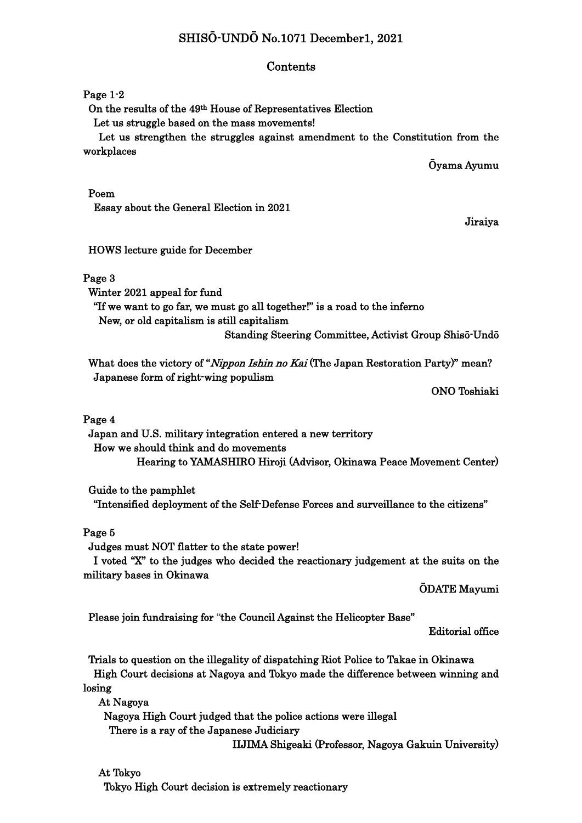# SHISŌ-UNDŌ No.1071 December1, 2021

## Contents

## Page 1-2

On the results of the 49th House of Representatives Election

Let us struggle based on the mass movements!

 Let us strengthen the struggles against amendment to the Constitution from the workplaces

Ōyama Ayumu

#### Poem

Essay about the General Election in 2021

Jiraiya

# HOWS lecture guide for December

## Page 3

Winter 2021 appeal for fund

 "If we want to go far, we must go all together!" is a road to the inferno New, or old capitalism is still capitalism Standing Steering Committee, Activist Group Shisō-Undō

What does the victory of "Nippon Ishin no Kai (The Japan Restoration Party)" mean? Japanese form of right-wing populism

ONO Toshiaki

## Page 4

 Japan and U.S. military integration entered a new territory How we should think and do movements Hearing to YAMASHIRO Hiroji (Advisor, Okinawa Peace Movement Center)

Guide to the pamphlet

"Intensified deployment of the Self-Defense Forces and surveillance to the citizens"

# Page 5

Judges must NOT flatter to the state power!

 I voted "X" to the judges who decided the reactionary judgement at the suits on the military bases in Okinawa

ŌDATE Mayumi

Please join fundraising for "the Council Against the Helicopter Base"

Editorial office

 Trials to question on the illegality of dispatching Riot Police to Takae in Okinawa High Court decisions at Nagoya and Tokyo made the difference between winning and losing

At Nagoya

 Nagoya High Court judged that the police actions were illegal There is a ray of the Japanese Judiciary

IIJIMA Shigeaki (Professor, Nagoya Gakuin University)

# At Tokyo

Tokyo High Court decision is extremely reactionary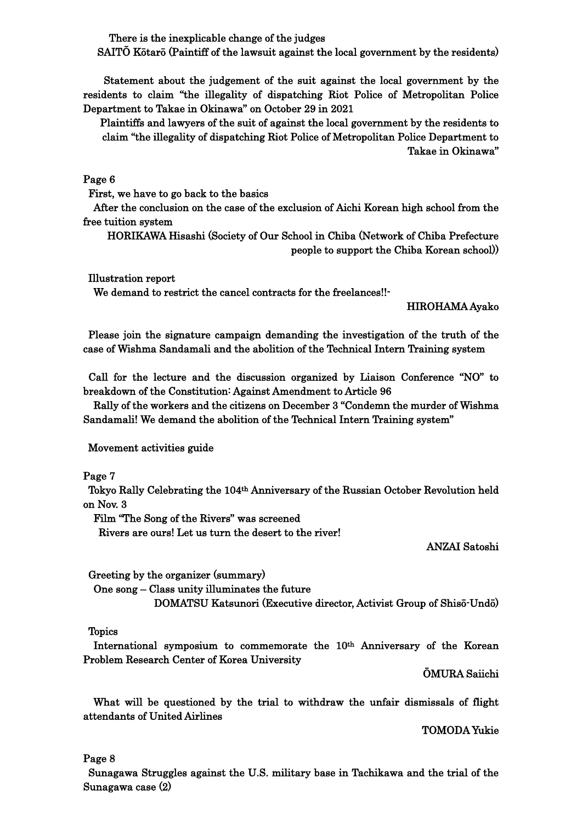There is the inexplicable change of the judges

SAITŌ Kōtarō (Paintiff of the lawsuit against the local government by the residents)

Statement about the judgement of the suit against the local government by the residents to claim "the illegality of dispatching Riot Police of Metropolitan Police Department to Takae in Okinawa" on October 29 in 2021

Plaintiffs and lawyers of the suit of against the local government by the residents to claim "the illegality of dispatching Riot Police of Metropolitan Police Department to Takae in Okinawa"

Page 6

First, we have to go back to the basics

 After the conclusion on the case of the exclusion of Aichi Korean high school from the free tuition system

HORIKAWA Hisashi (Society of Our School in Chiba (Network of Chiba Prefecture people to support the Chiba Korean school))

Illustration report

We demand to restrict the cancel contracts for the freelances!!

HIROHAMA Ayako

Please join the signature campaign demanding the investigation of the truth of the case of Wishma Sandamali and the abolition of the Technical Intern Training system

Call for the lecture and the discussion organized by Liaison Conference "NO" to breakdown of the Constitution: Against Amendment to Article 96

 Rally of the workers and the citizens on December 3 "Condemn the murder of Wishma Sandamali! We demand the abolition of the Technical Intern Training system"

Movement activities guide

Page 7

Tokyo Rally Celebrating the 104th Anniversary of the Russian October Revolution held on Nov. 3

Film "The Song of the Rivers" was screened

Rivers are ours! Let us turn the desert to the river!

ANZAI Satoshi

Greeting by the organizer (summary)

One song – Class unity illuminates the future

DOMATSU Katsunori (Executive director, Activist Group of Shisō-Undō)

Topics

 International symposium to commemorate the 10th Anniversary of the Korean Problem Research Center of Korea University

ŌMURA Saiichi

 What will be questioned by the trial to withdraw the unfair dismissals of flight attendants of United Airlines

TOMODA Yukie

Page 8

Sunagawa Struggles against the U.S. military base in Tachikawa and the trial of the Sunagawa case (2)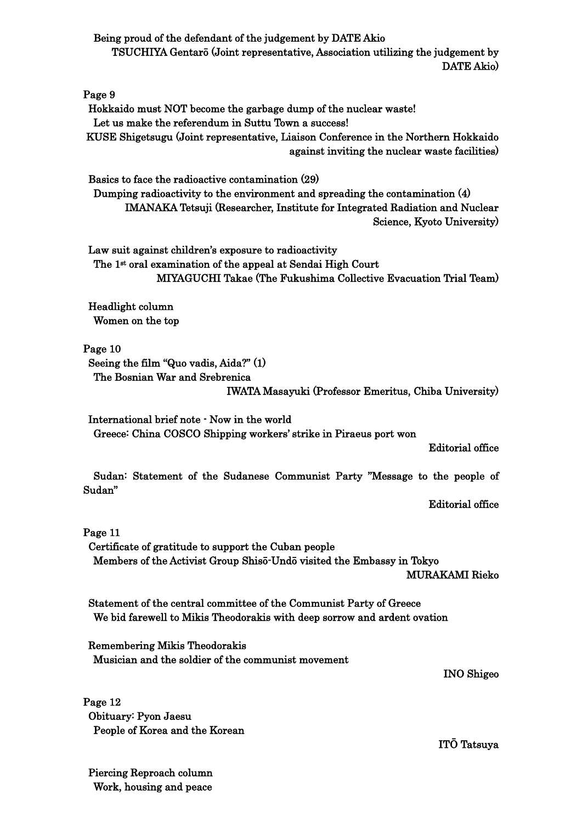Being proud of the defendant of the judgement by DATE Akio TSUCHIYA Gentarō (Joint representative, Association utilizing the judgement by DATE Akio)

Page 9 Hokkaido must NOT become the garbage dump of the nuclear waste! Let us make the referendum in Suttu Town a success! KUSE Shigetsugu (Joint representative, Liaison Conference in the Northern Hokkaido against inviting the nuclear waste facilities)

Basics to face the radioactive contamination (29) Dumping radioactivity to the environment and spreading the contamination (4) IMANAKA Tetsuji (Researcher, Institute for Integrated Radiation and Nuclear Science, Kyoto University)

Law suit against children's exposure to radioactivity The 1<sup>st</sup> oral examination of the appeal at Sendai High Court MIYAGUCHI Takae (The Fukushima Collective Evacuation Trial Team)

 Headlight column Women on the top

Page 10 Seeing the film "Quo vadis, Aida?" (1) The Bosnian War and Srebrenica

IWATA Masayuki (Professor Emeritus, Chiba University)

International brief note - Now in the world Greece: China COSCO Shipping workers' strike in Piraeus port won

Editorial office

 Sudan: Statement of the Sudanese Communist Party "Message to the people of Sudan"

Editorial office

Page 11

Certificate of gratitude to support the Cuban people Members of the Activist Group Shisō-Undō visited the Embassy in Tokyo MURAKAMI Rieko

 Statement of the central committee of the Communist Party of Greece We bid farewell to Mikis Theodorakis with deep sorrow and ardent ovation

 Remembering Mikis Theodorakis Musician and the soldier of the communist movement

INO Shigeo

Page 12 Obituary: Pyon Jaesu People of Korea and the Korean

ITŌ Tatsuya

Piercing Reproach column Work, housing and peace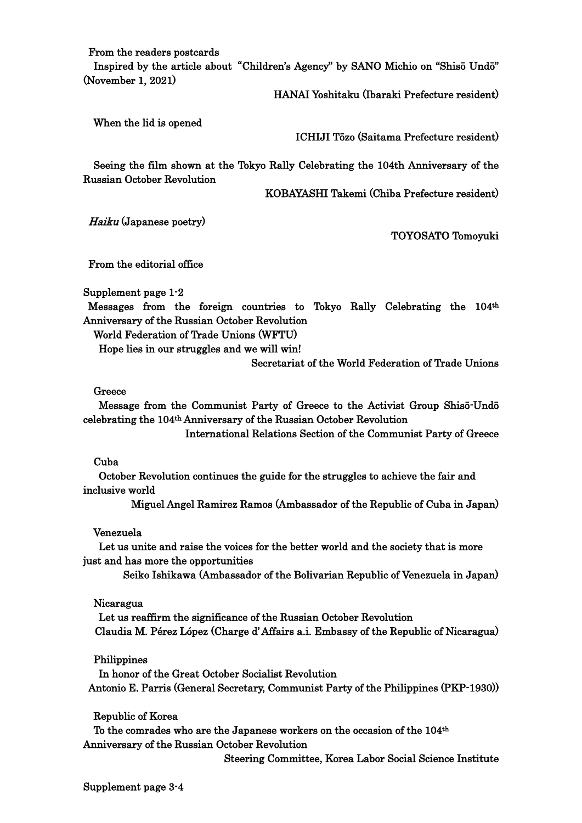From the readers postcards

Inspired by the article about"Children's Agency" by SANO Michio on "Shisō Undō" (November 1, 2021)

HANAI Yoshitaku (Ibaraki Prefecture resident)

When the lid is opened

ICHIJI Tōzo (Saitama Prefecture resident)

 Seeing the film shown at the Tokyo Rally Celebrating the 104th Anniversary of the Russian October Revolution

KOBAYASHI Takemi (Chiba Prefecture resident)

Haiku (Japanese poetry)

TOYOSATO Tomoyuki

From the editorial office

Supplement page 1-2

Messages from the foreign countries to Tokyo Rally Celebrating the 104th Anniversary of the Russian October Revolution

World Federation of Trade Unions (WFTU)

Hope lies in our struggles and we will win!

Secretariat of the World Federation of Trade Unions

Greece

 Message from the Communist Party of Greece to the Activist Group Shisō-Undō celebrating the 104th Anniversary of the Russian October Revolution

International Relations Section of the Communist Party of Greece

#### Cuba

 October Revolution continues the guide for the struggles to achieve the fair and inclusive world

Miguel Angel Ramirez Ramos (Ambassador of the Republic of Cuba in Japan)

#### Venezuela

 Let us unite and raise the voices for the better world and the society that is more just and has more the opportunities

Seiko Ishikawa (Ambassador of the Bolivarian Republic of Venezuela in Japan)

#### Nicaragua

 Let us reaffirm the significance of the Russian October Revolution Claudia M. Pérez López (Charge d' Affairs a.i. Embassy of the Republic of Nicaragua)

Philippines

 In honor of the Great October Socialist Revolution Antonio E. Parris (General Secretary, Communist Party of the Philippines (PKP-1930))

Republic of Korea

 To the comrades who are the Japanese workers on the occasion of the 104th Anniversary of the Russian October Revolution

Steering Committee, Korea Labor Social Science Institute

Supplement page 3-4